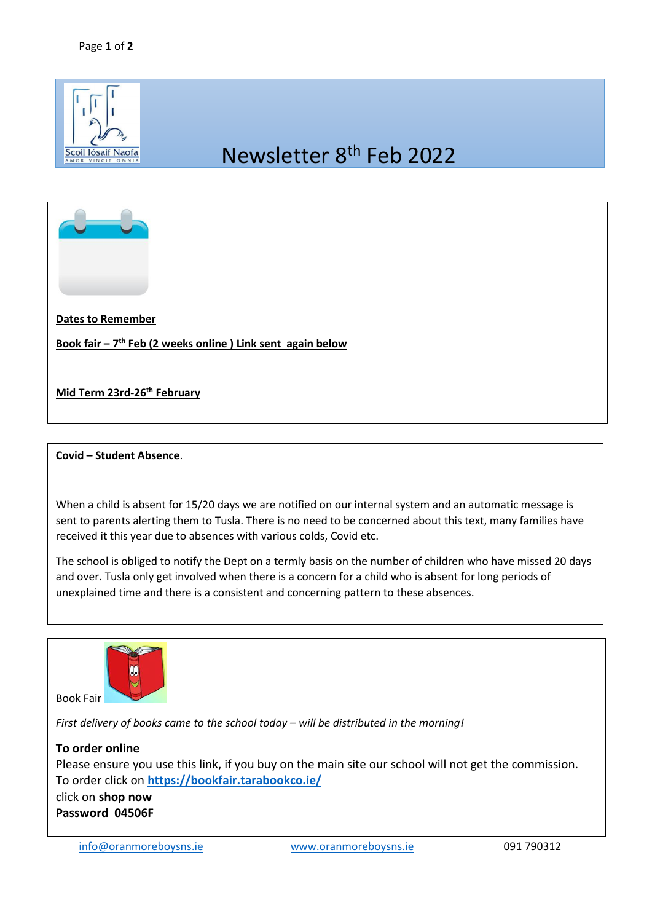

## Newsletter 8th Feb 2022



**Dates to Remember**

**Book fair – 7 th Feb (2 weeks online ) Link sent again below** 

**Mid Term 23rd-26th February**

## **Covid – Student Absence**.

When a child is absent for 15/20 days we are notified on our internal system and an automatic message is sent to parents alerting them to Tusla. There is no need to be concerned about this text, many families have received it this year due to absences with various colds, Covid etc.

The school is obliged to notify the Dept on a termly basis on the number of children who have missed 20 days and over. Tusla only get involved when there is a concern for a child who is absent for long periods of unexplained time and there is a consistent and concerning pattern to these absences.



*First delivery of books came to the school today – will be distributed in the morning!*

**To order online** Please ensure you use this link, if you buy on the main site our school will not get the commission. To order click on **<https://bookfair.tarabookco.ie/>** click on **shop now Password 04506F**